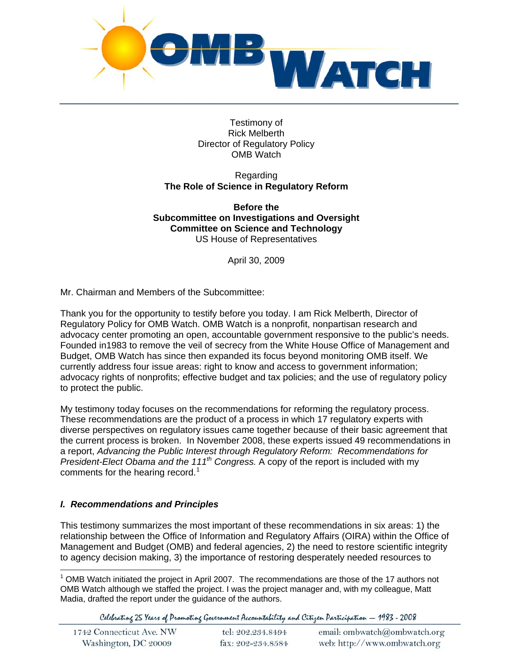

Testimony of Rick Melberth Director of Regulatory Policy OMB Watch

#### Regarding **The Role of Science in Regulatory Reform**

**Before the Subcommittee on Investigations and Oversight Committee on Science and Technology**  US House of Representatives

April 30, 2009

Mr. Chairman and Members of the Subcommittee:

Thank you for the opportunity to testify before you today. I am Rick Melberth, Director of Regulatory Policy for OMB Watch. OMB Watch is a nonprofit, nonpartisan research and advocacy center promoting an open, accountable government responsive to the public's needs. Founded in1983 to remove the veil of secrecy from the White House Office of Management and Budget, OMB Watch has since then expanded its focus beyond monitoring OMB itself. We currently address four issue areas: right to know and access to government information; advocacy rights of nonprofits; effective budget and tax policies; and the use of regulatory policy to protect the public.

My testimony today focuses on the recommendations for reforming the regulatory process. These recommendations are the product of a process in which 17 regulatory experts with diverse perspectives on regulatory issues came together because of their basic agreement that the current process is broken. In November 2008, these experts issued 49 recommendations in a report, *Advancing the Public Interest through Regulatory Reform: Recommendations for President-Elect Obama and the 111th Congress.* A copy of the report is included with my comments for the hearing record.<sup>[1](#page-0-0)</sup>

# *I. Recommendations and Principles*

This testimony summarizes the most important of these recommendations in six areas: 1) the relationship between the Office of Information and Regulatory Affairs (OIRA) within the Office of Management and Budget (OMB) and federal agencies, 2) the need to restore scientific integrity to agency decision making, 3) the importance of restoring desperately needed resources to

<span id="page-0-0"></span> $\overline{a}$  $1$  OMB Watch initiated the project in April 2007. The recommendations are those of the 17 authors not OMB Watch although we staffed the project. I was the project manager and, with my colleague, Matt Madia, drafted the report under the guidance of the authors.

Celebrating 25 Years of Promoting Government Accountability and Citizen Participation - 1983 - 2008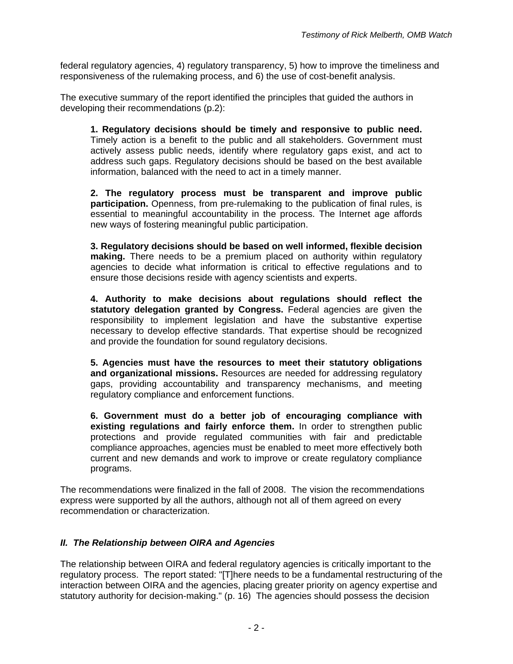federal regulatory agencies, 4) regulatory transparency, 5) how to improve the timeliness and responsiveness of the rulemaking process, and 6) the use of cost-benefit analysis.

The executive summary of the report identified the principles that guided the authors in developing their recommendations (p.2):

**1. Regulatory decisions should be timely and responsive to public need.**  Timely action is a benefit to the public and all stakeholders. Government must actively assess public needs, identify where regulatory gaps exist, and act to address such gaps. Regulatory decisions should be based on the best available information, balanced with the need to act in a timely manner.

**2. The regulatory process must be transparent and improve public participation.** Openness, from pre-rulemaking to the publication of final rules, is essential to meaningful accountability in the process. The Internet age affords new ways of fostering meaningful public participation.

**3. Regulatory decisions should be based on well informed, flexible decision making.** There needs to be a premium placed on authority within regulatory agencies to decide what information is critical to effective regulations and to ensure those decisions reside with agency scientists and experts.

**4. Authority to make decisions about regulations should reflect the statutory delegation granted by Congress.** Federal agencies are given the responsibility to implement legislation and have the substantive expertise necessary to develop effective standards. That expertise should be recognized and provide the foundation for sound regulatory decisions.

**5. Agencies must have the resources to meet their statutory obligations and organizational missions.** Resources are needed for addressing regulatory gaps, providing accountability and transparency mechanisms, and meeting regulatory compliance and enforcement functions.

**6. Government must do a better job of encouraging compliance with existing regulations and fairly enforce them.** In order to strengthen public protections and provide regulated communities with fair and predictable compliance approaches, agencies must be enabled to meet more effectively both current and new demands and work to improve or create regulatory compliance programs.

The recommendations were finalized in the fall of 2008. The vision the recommendations express were supported by all the authors, although not all of them agreed on every recommendation or characterization.

# *II. The Relationship between OIRA and Agencies*

The relationship between OIRA and federal regulatory agencies is critically important to the regulatory process. The report stated: "[T]here needs to be a fundamental restructuring of the interaction between OIRA and the agencies, placing greater priority on agency expertise and statutory authority for decision-making." (p. 16) The agencies should possess the decision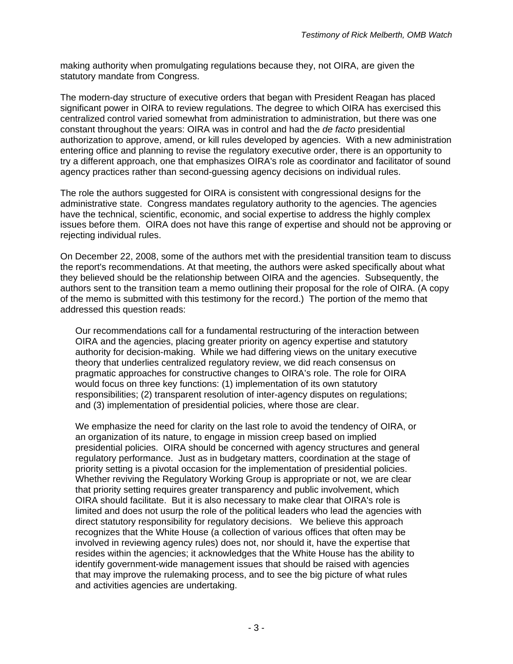making authority when promulgating regulations because they, not OIRA, are given the statutory mandate from Congress.

The modern-day structure of executive orders that began with President Reagan has placed significant power in OIRA to review regulations. The degree to which OIRA has exercised this centralized control varied somewhat from administration to administration, but there was one constant throughout the years: OIRA was in control and had the *de facto* presidential authorization to approve, amend, or kill rules developed by agencies. With a new administration entering office and planning to revise the regulatory executive order, there is an opportunity to try a different approach, one that emphasizes OIRA's role as coordinator and facilitator of sound agency practices rather than second-guessing agency decisions on individual rules.

The role the authors suggested for OIRA is consistent with congressional designs for the administrative state. Congress mandates regulatory authority to the agencies. The agencies have the technical, scientific, economic, and social expertise to address the highly complex issues before them. OIRA does not have this range of expertise and should not be approving or rejecting individual rules.

On December 22, 2008, some of the authors met with the presidential transition team to discuss the report's recommendations. At that meeting, the authors were asked specifically about what they believed should be the relationship between OIRA and the agencies. Subsequently, the authors sent to the transition team a memo outlining their proposal for the role of OIRA. (A copy of the memo is submitted with this testimony for the record.) The portion of the memo that addressed this question reads:

Our recommendations call for a fundamental restructuring of the interaction between OIRA and the agencies, placing greater priority on agency expertise and statutory authority for decision-making. While we had differing views on the unitary executive theory that underlies centralized regulatory review, we did reach consensus on pragmatic approaches for constructive changes to OIRA's role. The role for OIRA would focus on three key functions: (1) implementation of its own statutory responsibilities; (2) transparent resolution of inter-agency disputes on regulations; and (3) implementation of presidential policies, where those are clear.

We emphasize the need for clarity on the last role to avoid the tendency of OIRA, or an organization of its nature, to engage in mission creep based on implied presidential policies. OIRA should be concerned with agency structures and general regulatory performance. Just as in budgetary matters, coordination at the stage of priority setting is a pivotal occasion for the implementation of presidential policies. Whether reviving the Regulatory Working Group is appropriate or not, we are clear that priority setting requires greater transparency and public involvement, which OIRA should facilitate. But it is also necessary to make clear that OIRA's role is limited and does not usurp the role of the political leaders who lead the agencies with direct statutory responsibility for regulatory decisions. We believe this approach recognizes that the White House (a collection of various offices that often may be involved in reviewing agency rules) does not, nor should it, have the expertise that resides within the agencies; it acknowledges that the White House has the ability to identify government-wide management issues that should be raised with agencies that may improve the rulemaking process, and to see the big picture of what rules and activities agencies are undertaking.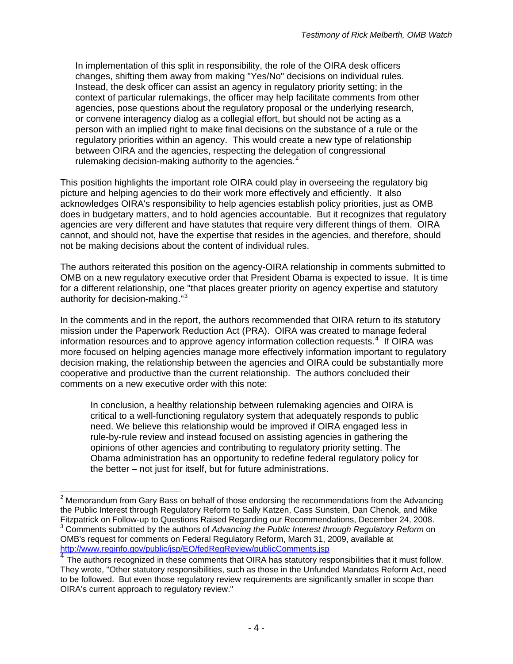In implementation of this split in responsibility, the role of the OIRA desk officers changes, shifting them away from making "Yes/No" decisions on individual rules. Instead, the desk officer can assist an agency in regulatory priority setting; in the context of particular rulemakings, the officer may help facilitate comments from other agencies, pose questions about the regulatory proposal or the underlying research, or convene interagency dialog as a collegial effort, but should not be acting as a person with an implied right to make final decisions on the substance of a rule or the regulatory priorities within an agency. This would create a new type of relationship between OIRA and the agencies, respecting the delegation of congressional rulemaking decision-making authority to the agencies. $<sup>2</sup>$  $<sup>2</sup>$  $<sup>2</sup>$ </sup>

This position highlights the important role OIRA could play in overseeing the regulatory big picture and helping agencies to do their work more effectively and efficiently. It also acknowledges OIRA's responsibility to help agencies establish policy priorities, just as OMB does in budgetary matters, and to hold agencies accountable. But it recognizes that regulatory agencies are very different and have statutes that require very different things of them. OIRA cannot, and should not, have the expertise that resides in the agencies, and therefore, should not be making decisions about the content of individual rules.

The authors reiterated this position on the agency-OIRA relationship in comments submitted to OMB on a new regulatory executive order that President Obama is expected to issue. It is time for a different relationship, one "that places greater priority on agency expertise and statutory authority for decision-making."<sup>[3](#page-3-1)</sup>

In the comments and in the report, the authors recommended that OIRA return to its statutory mission under the Paperwork Reduction Act (PRA). OIRA was created to manage federal information resources and to approve agency information collection requests.<sup>[4](#page-3-2)</sup> If OIRA was more focused on helping agencies manage more effectively information important to regulatory decision making, the relationship between the agencies and OIRA could be substantially more cooperative and productive than the current relationship. The authors concluded their comments on a new executive order with this note:

In conclusion, a healthy relationship between rulemaking agencies and OIRA is critical to a well-functioning regulatory system that adequately responds to public need. We believe this relationship would be improved if OIRA engaged less in rule-by-rule review and instead focused on assisting agencies in gathering the opinions of other agencies and contributing to regulatory priority setting. The Obama administration has an opportunity to redefine federal regulatory policy for the better – not just for itself, but for future administrations.

<span id="page-3-0"></span> 2 Memorandum from Gary Bass on behalf of those endorsing the recommendations from the Advancing the Public Interest through Regulatory Reform to Sally Katzen, Cass Sunstein, Dan Chenok, and Mike Fitzpatrick on Follow-up to Questions Raised Regarding our Recommendations, December 24, 2008. 3 Comments submitted by the authors of *Advancing the Public Interest through Regulatory Reform* on OMB's request for comments on Federal Regulatory Reform, March 31, 2009, available at http://www.reginfo.gov/public/jsp/EO/fedRegReview/publicComments.jsp

<span id="page-3-2"></span><span id="page-3-1"></span> $\frac{4}{\sqrt{1}}$  $\frac{4}{\sqrt{1}}$  $\frac{4}{\sqrt{1}}$  The authors recognized in these comments that OIRA has statutory responsibilities that it must follow. They wrote, "Other statutory responsibilities, such as those in the Unfunded Mandates Reform Act, need to be followed. But even those regulatory review requirements are significantly smaller in scope than OIRA's current approach to regulatory review."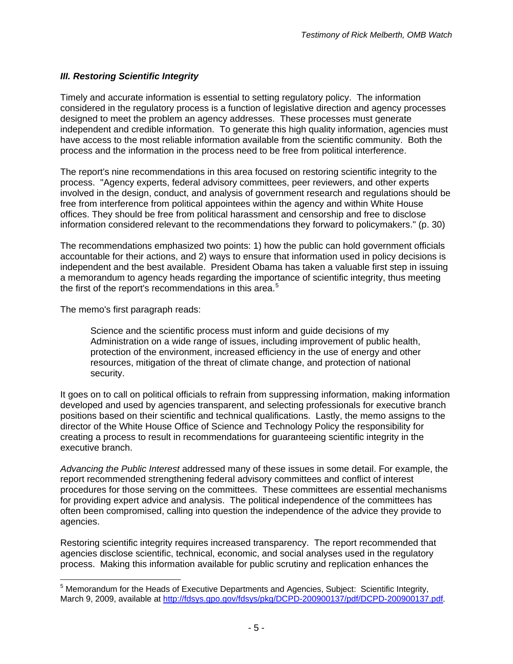# *III. Restoring Scientific Integrity*

Timely and accurate information is essential to setting regulatory policy. The information considered in the regulatory process is a function of legislative direction and agency processes designed to meet the problem an agency addresses. These processes must generate independent and credible information. To generate this high quality information, agencies must have access to the most reliable information available from the scientific community. Both the process and the information in the process need to be free from political interference.

The report's nine recommendations in this area focused on restoring scientific integrity to the process. "Agency experts, federal advisory committees, peer reviewers, and other experts involved in the design, conduct, and analysis of government research and regulations should be free from interference from political appointees within the agency and within White House offices. They should be free from political harassment and censorship and free to disclose information considered relevant to the recommendations they forward to policymakers." (p. 30)

The recommendations emphasized two points: 1) how the public can hold government officials accountable for their actions, and 2) ways to ensure that information used in policy decisions is independent and the best available. President Obama has taken a valuable first step in issuing a memorandum to agency heads regarding the importance of scientific integrity, thus meeting the first of the report's recommendations in this area. $5$ 

The memo's first paragraph reads:

Science and the scientific process must inform and guide decisions of my Administration on a wide range of issues, including improvement of public health, protection of the environment, increased efficiency in the use of energy and other resources, mitigation of the threat of climate change, and protection of national security.

It goes on to call on political officials to refrain from suppressing information, making information developed and used by agencies transparent, and selecting professionals for executive branch positions based on their scientific and technical qualifications. Lastly, the memo assigns to the director of the White House Office of Science and Technology Policy the responsibility for creating a process to result in recommendations for guaranteeing scientific integrity in the executive branch.

*Advancing the Public Interest* addressed many of these issues in some detail. For example, the report recommended strengthening federal advisory committees and conflict of interest procedures for those serving on the committees. These committees are essential mechanisms for providing expert advice and analysis. The political independence of the committees has often been compromised, calling into question the independence of the advice they provide to agencies.

Restoring scientific integrity requires increased transparency. The report recommended that agencies disclose scientific, technical, economic, and social analyses used in the regulatory process. Making this information available for public scrutiny and replication enhances the

<span id="page-4-0"></span> 5 Memorandum for the Heads of Executive Departments and Agencies, Subject: Scientific Integrity, March 9, 2009, available at <http://fdsys.gpo.gov/fdsys/pkg/DCPD-200900137/pdf/DCPD-200900137.pdf>.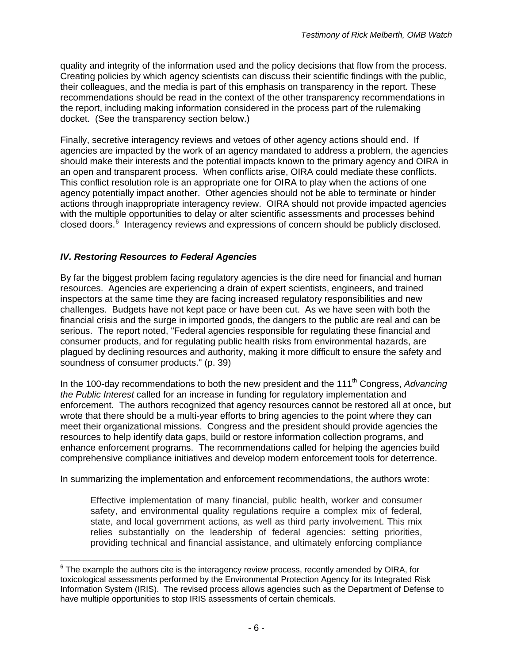quality and integrity of the information used and the policy decisions that flow from the process. Creating policies by which agency scientists can discuss their scientific findings with the public, their colleagues, and the media is part of this emphasis on transparency in the report. These recommendations should be read in the context of the other transparency recommendations in the report, including making information considered in the process part of the rulemaking docket. (See the transparency section below.)

Finally, secretive interagency reviews and vetoes of other agency actions should end. If agencies are impacted by the work of an agency mandated to address a problem, the agencies should make their interests and the potential impacts known to the primary agency and OIRA in an open and transparent process. When conflicts arise, OIRA could mediate these conflicts. This conflict resolution role is an appropriate one for OIRA to play when the actions of one agency potentially impact another. Other agencies should not be able to terminate or hinder actions through inappropriate interagency review. OIRA should not provide impacted agencies with the multiple opportunities to delay or alter scientific assessments and processes behind closed doors.<sup>[6](#page-5-0)</sup> Interagency reviews and expressions of concern should be publicly disclosed.

# *IV. Restoring Resources to Federal Agencies*

By far the biggest problem facing regulatory agencies is the dire need for financial and human resources. Agencies are experiencing a drain of expert scientists, engineers, and trained inspectors at the same time they are facing increased regulatory responsibilities and new challenges. Budgets have not kept pace or have been cut. As we have seen with both the financial crisis and the surge in imported goods, the dangers to the public are real and can be serious. The report noted, "Federal agencies responsible for regulating these financial and consumer products, and for regulating public health risks from environmental hazards, are plagued by declining resources and authority, making it more difficult to ensure the safety and soundness of consumer products." (p. 39)

In the 100-day recommendations to both the new president and the 111<sup>th</sup> Congress, *Advancing the Public Interest* called for an increase in funding for regulatory implementation and enforcement. The authors recognized that agency resources cannot be restored all at once, but wrote that there should be a multi-year efforts to bring agencies to the point where they can meet their organizational missions. Congress and the president should provide agencies the resources to help identify data gaps, build or restore information collection programs, and enhance enforcement programs. The recommendations called for helping the agencies build comprehensive compliance initiatives and develop modern enforcement tools for deterrence.

In summarizing the implementation and enforcement recommendations, the authors wrote:

Effective implementation of many financial, public health, worker and consumer safety, and environmental quality regulations require a complex mix of federal, state, and local government actions, as well as third party involvement. This mix relies substantially on the leadership of federal agencies: setting priorities, providing technical and financial assistance, and ultimately enforcing compliance

<span id="page-5-0"></span> 6 The example the authors cite is the interagency review process, recently amended by OIRA, for toxicological assessments performed by the Environmental Protection Agency for its Integrated Risk Information System (IRIS). The revised process allows agencies such as the Department of Defense to have multiple opportunities to stop IRIS assessments of certain chemicals.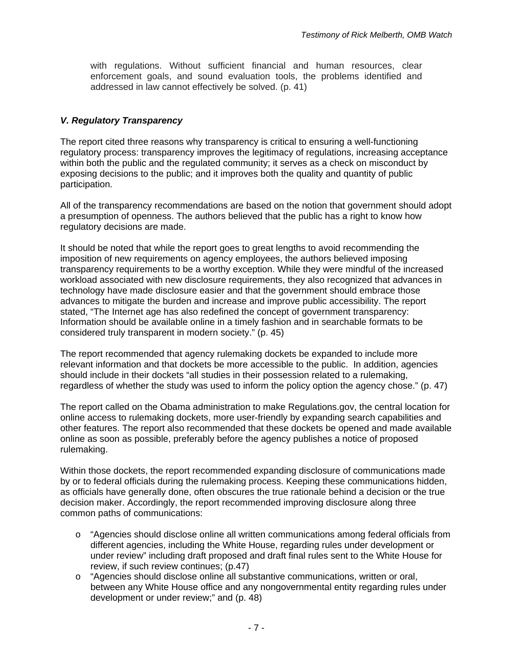with regulations. Without sufficient financial and human resources, clear enforcement goals, and sound evaluation tools, the problems identified and addressed in law cannot effectively be solved. (p. 41)

### *V. Regulatory Transparency*

The report cited three reasons why transparency is critical to ensuring a well-functioning regulatory process: transparency improves the legitimacy of regulations, increasing acceptance within both the public and the regulated community; it serves as a check on misconduct by exposing decisions to the public; and it improves both the quality and quantity of public participation.

All of the transparency recommendations are based on the notion that government should adopt a presumption of openness. The authors believed that the public has a right to know how regulatory decisions are made.

It should be noted that while the report goes to great lengths to avoid recommending the imposition of new requirements on agency employees, the authors believed imposing transparency requirements to be a worthy exception. While they were mindful of the increased workload associated with new disclosure requirements, they also recognized that advances in technology have made disclosure easier and that the government should embrace those advances to mitigate the burden and increase and improve public accessibility. The report stated, "The Internet age has also redefined the concept of government transparency: Information should be available online in a timely fashion and in searchable formats to be considered truly transparent in modern society." (p. 45)

The report recommended that agency rulemaking dockets be expanded to include more relevant information and that dockets be more accessible to the public. In addition, agencies should include in their dockets "all studies in their possession related to a rulemaking, regardless of whether the study was used to inform the policy option the agency chose." (p. 47)

The report called on the Obama administration to make Regulations.gov, the central location for online access to rulemaking dockets, more user-friendly by expanding search capabilities and other features. The report also recommended that these dockets be opened and made available online as soon as possible, preferably before the agency publishes a notice of proposed rulemaking.

Within those dockets, the report recommended expanding disclosure of communications made by or to federal officials during the rulemaking process. Keeping these communications hidden, as officials have generally done, often obscures the true rationale behind a decision or the true decision maker. Accordingly, the report recommended improving disclosure along three common paths of communications:

- o "Agencies should disclose online all written communications among federal officials from different agencies, including the White House, regarding rules under development or under review" including draft proposed and draft final rules sent to the White House for review, if such review continues; (p.47)
- o "Agencies should disclose online all substantive communications, written or oral, between any White House office and any nongovernmental entity regarding rules under development or under review;" and (p. 48)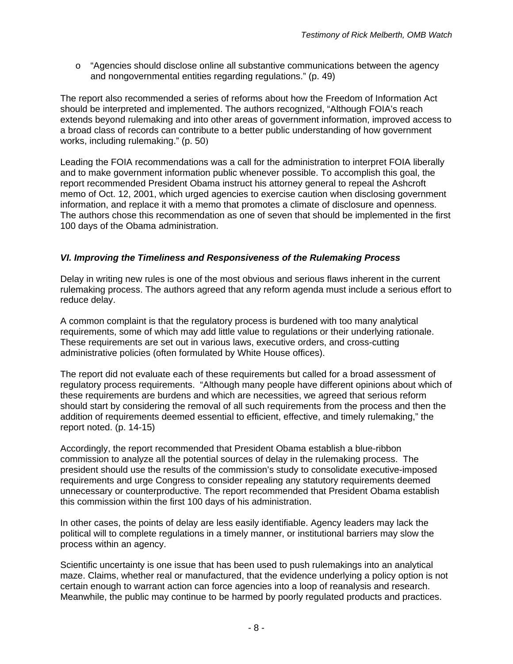$\circ$  "Agencies should disclose online all substantive communications between the agency and nongovernmental entities regarding regulations." (p. 49)

The report also recommended a series of reforms about how the Freedom of Information Act should be interpreted and implemented. The authors recognized, "Although FOIA's reach extends beyond rulemaking and into other areas of government information, improved access to a broad class of records can contribute to a better public understanding of how government works, including rulemaking." (p. 50)

Leading the FOIA recommendations was a call for the administration to interpret FOIA liberally and to make government information public whenever possible. To accomplish this goal, the report recommended President Obama instruct his attorney general to repeal the Ashcroft memo of Oct. 12, 2001, which urged agencies to exercise caution when disclosing government information, and replace it with a memo that promotes a climate of disclosure and openness. The authors chose this recommendation as one of seven that should be implemented in the first 100 days of the Obama administration.

# *VI. Improving the Timeliness and Responsiveness of the Rulemaking Process*

Delay in writing new rules is one of the most obvious and serious flaws inherent in the current rulemaking process. The authors agreed that any reform agenda must include a serious effort to reduce delay.

A common complaint is that the regulatory process is burdened with too many analytical requirements, some of which may add little value to regulations or their underlying rationale. These requirements are set out in various laws, executive orders, and cross-cutting administrative policies (often formulated by White House offices).

The report did not evaluate each of these requirements but called for a broad assessment of regulatory process requirements. "Although many people have different opinions about which of these requirements are burdens and which are necessities, we agreed that serious reform should start by considering the removal of all such requirements from the process and then the addition of requirements deemed essential to efficient, effective, and timely rulemaking," the report noted. (p. 14-15)

Accordingly, the report recommended that President Obama establish a blue-ribbon commission to analyze all the potential sources of delay in the rulemaking process. The president should use the results of the commission's study to consolidate executive-imposed requirements and urge Congress to consider repealing any statutory requirements deemed unnecessary or counterproductive. The report recommended that President Obama establish this commission within the first 100 days of his administration.

In other cases, the points of delay are less easily identifiable. Agency leaders may lack the political will to complete regulations in a timely manner, or institutional barriers may slow the process within an agency.

Scientific uncertainty is one issue that has been used to push rulemakings into an analytical maze. Claims, whether real or manufactured, that the evidence underlying a policy option is not certain enough to warrant action can force agencies into a loop of reanalysis and research. Meanwhile, the public may continue to be harmed by poorly regulated products and practices.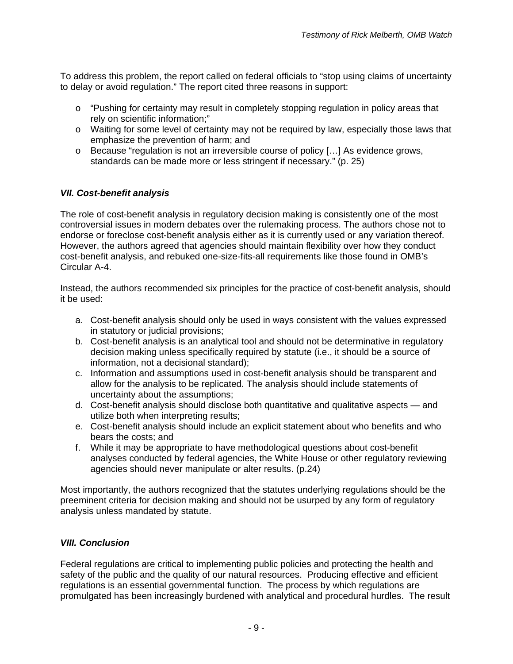To address this problem, the report called on federal officials to "stop using claims of uncertainty to delay or avoid regulation." The report cited three reasons in support:

- o "Pushing for certainty may result in completely stopping regulation in policy areas that rely on scientific information;"
- o Waiting for some level of certainty may not be required by law, especially those laws that emphasize the prevention of harm; and
- o Because "regulation is not an irreversible course of policy […] As evidence grows, standards can be made more or less stringent if necessary." (p. 25)

# *VII. Cost-benefit analysis*

The role of cost-benefit analysis in regulatory decision making is consistently one of the most controversial issues in modern debates over the rulemaking process. The authors chose not to endorse or foreclose cost-benefit analysis either as it is currently used or any variation thereof. However, the authors agreed that agencies should maintain flexibility over how they conduct cost-benefit analysis, and rebuked one-size-fits-all requirements like those found in OMB's Circular A-4.

Instead, the authors recommended six principles for the practice of cost-benefit analysis, should it be used:

- a. Cost-benefit analysis should only be used in ways consistent with the values expressed in statutory or judicial provisions;
- b. Cost-benefit analysis is an analytical tool and should not be determinative in regulatory decision making unless specifically required by statute (i.e., it should be a source of information, not a decisional standard);
- c. Information and assumptions used in cost-benefit analysis should be transparent and allow for the analysis to be replicated. The analysis should include statements of uncertainty about the assumptions;
- d. Cost-benefit analysis should disclose both quantitative and qualitative aspects and utilize both when interpreting results;
- e. Cost-benefit analysis should include an explicit statement about who benefits and who bears the costs; and
- f. While it may be appropriate to have methodological questions about cost-benefit analyses conducted by federal agencies, the White House or other regulatory reviewing agencies should never manipulate or alter results. (p.24)

Most importantly, the authors recognized that the statutes underlying regulations should be the preeminent criteria for decision making and should not be usurped by any form of regulatory analysis unless mandated by statute.

### *VIII. Conclusion*

Federal regulations are critical to implementing public policies and protecting the health and safety of the public and the quality of our natural resources. Producing effective and efficient regulations is an essential governmental function. The process by which regulations are promulgated has been increasingly burdened with analytical and procedural hurdles. The result